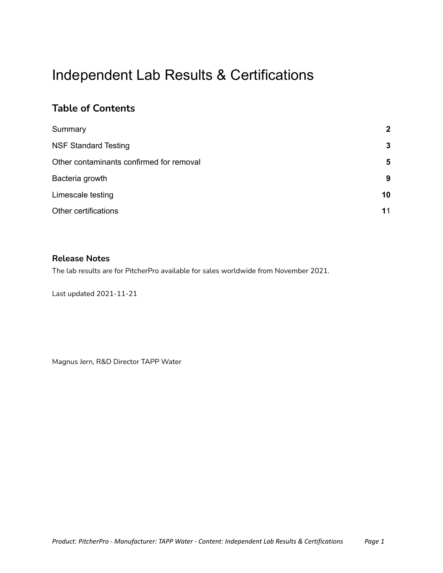# Independent Lab Results & Certifications

#### **Table of Contents**

| Summary                                  | $\overline{2}$ |
|------------------------------------------|----------------|
| <b>NSF Standard Testing</b>              | 3              |
| Other contaminants confirmed for removal | 5              |
| Bacteria growth                          | 9              |
| Limescale testing                        | 10             |
| Other certifications                     | 11             |

#### **Release Notes**

The lab results are for PitcherPro available for sales worldwide from November 2021.

Last updated 2021-11-21

Magnus Jern, R&D Director TAPP Water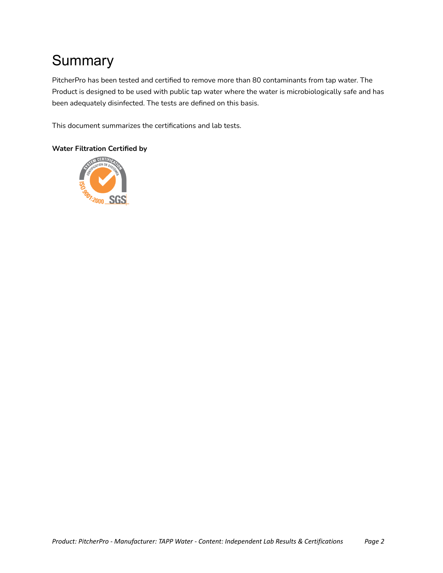# <span id="page-1-0"></span>**Summary**

PitcherPro has been tested and certified to remove more than 80 contaminants from tap water. The Product is designed to be used with public tap water where the water is microbiologically safe and has been adequately disinfected. The tests are defined on this basis.

This document summarizes the certifications and lab tests.

#### **Water Filtration Certified by**

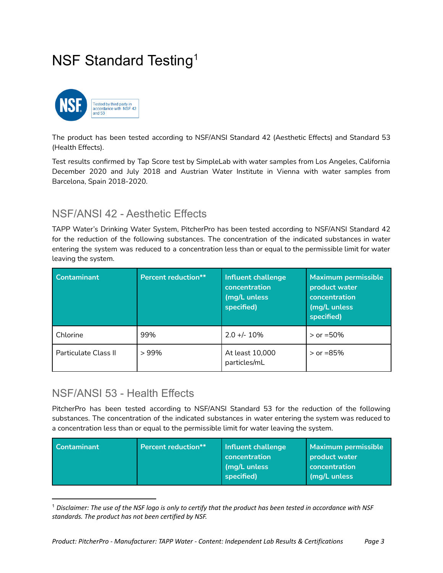## <span id="page-2-0"></span>NSF Standard Testing<sup>1</sup>



The product has been tested according to NSF/ANSI Standard 42 (Aesthetic Effects) and Standard 53 (Health Effects).

Test results confirmed by Tap Score test by SimpleLab with water samples from Los Angeles, California December 2020 and July 2018 and Austrian Water Institute in Vienna with water samples from Barcelona, Spain 2018-2020.

### NSF/ANSI 42 - Aesthetic Effects

TAPP Water's Drinking Water System, PitcherPro has been tested according to NSF/ANSI Standard 42 for the reduction of the following substances. The concentration of the indicated substances in water entering the system was reduced to a concentration less than or equal to the permissible limit for water leaving the system.

| <b>Contaminant</b>   | <b>Percent reduction**</b> | Influent challenge<br>concentration<br>(mg/L unless<br>specified) | <b>Maximum permissible</b><br>product water<br>concentration<br>(mg/L unless<br>specified) |
|----------------------|----------------------------|-------------------------------------------------------------------|--------------------------------------------------------------------------------------------|
| Chlorine             | 99%                        | $2.0 +/- 10\%$                                                    | $>$ or =50%                                                                                |
| Particulate Class II | >99%                       | At least 10,000<br>particles/mL                                   | $>$ or =85%                                                                                |

### NSF/ANSI 53 - Health Effects

PitcherPro has been tested according to NSF/ANSI Standard 53 for the reduction of the following substances. The concentration of the indicated substances in water entering the system was reduced to a concentration less than or equal to the permissible limit for water leaving the system.

 $1$  Disclaimer: The use of the NSF logo is only to certify that the product has been tested in accordance with NSF *standards. The product has not been certified by NSF.*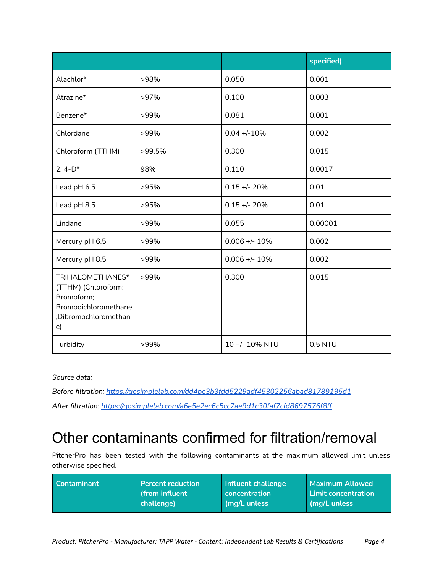|                                                                                                             |        |                 | specified) |
|-------------------------------------------------------------------------------------------------------------|--------|-----------------|------------|
| Alachlor*                                                                                                   | >98%   | 0.050           | 0.001      |
| Atrazine*                                                                                                   | >97%   | 0.100           | 0.003      |
| Benzene*                                                                                                    | >99%   | 0.081           | 0.001      |
| Chlordane                                                                                                   | >99%   | $0.04 + -10%$   | 0.002      |
| Chloroform (TTHM)                                                                                           | >99.5% | 0.300           | 0.015      |
| 2, $4-D^*$                                                                                                  | 98%    | 0.110           | 0.0017     |
| Lead pH 6.5                                                                                                 | >95%   | $0.15 + - 20%$  | 0.01       |
| Lead pH 8.5                                                                                                 | >95%   | $0.15 + - 20%$  | 0.01       |
| Lindane                                                                                                     | >99%   | 0.055           | 0.00001    |
| Mercury pH 6.5                                                                                              | >99%   | $0.006 +/- 10%$ | 0.002      |
| Mercury pH 8.5                                                                                              | >99%   | $0.006 +/- 10%$ | 0.002      |
| TRIHALOMETHANES*<br>(TTHM) (Chloroform;<br>Bromoform;<br>Bromodichloromethane<br>;Dibromochloromethan<br>e) | >99%   | 0.300           | 0.015      |
| Turbidity                                                                                                   | >99%   | 10 +/- 10% NTU  | 0.5 NTU    |

*Source data:*

*Before filtration: <https://gosimplelab.com/dd4be3b3fdd5229adf45302256abad81789195d1> After filtration: <https://gosimplelab.com/a6e5e2ec6c5cc7ae9d1c30faf7cfd8697576f8ff>*

## <span id="page-3-0"></span>Other contaminants confirmed for filtration/removal

PitcherPro has been tested with the following contaminants at the maximum allowed limit unless otherwise specified.

| <b>Contaminant</b> | <b>Percent reduction</b> | Influent challenge   | <b>Maximum Allowed</b>     |
|--------------------|--------------------------|----------------------|----------------------------|
|                    | from influent            | <b>concentration</b> | <b>Limit concentration</b> |
|                    | <b>challengel</b>        | (mg/L unless         | mq/L unless                |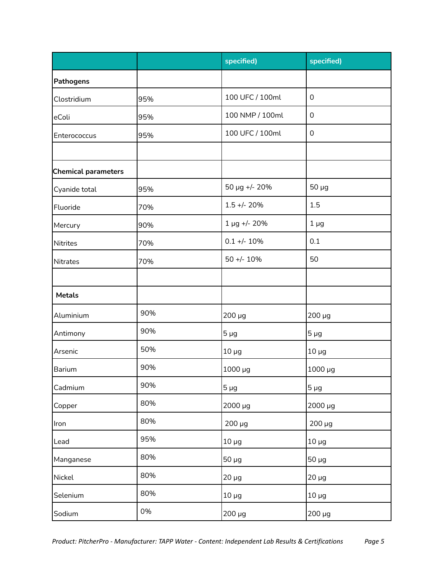|                            |     | specified)               | specified)       |  |
|----------------------------|-----|--------------------------|------------------|--|
| <b>Pathogens</b>           |     |                          |                  |  |
| Clostridium                | 95% | 100 UFC / 100ml          | $\boldsymbol{0}$ |  |
| eColi                      | 95% | 100 NMP / 100ml          | $\boldsymbol{0}$ |  |
| Enterococcus               | 95% | 100 UFC / 100ml          | $\mathbf 0$      |  |
|                            |     |                          |                  |  |
| <b>Chemical parameters</b> |     |                          |                  |  |
| Cyanide total              | 95% | 50 µg +/- 20%            | $50 \mu g$       |  |
| Fluoride                   | 70% | $1.5 + - 20%$            | 1.5              |  |
| Mercury                    | 90% | 1 µg +/- 20%             | $1 \mu g$        |  |
| <b>Nitrites</b>            | 70% | $0.1 +/- 10%$            | 0.1              |  |
| <b>Nitrates</b>            | 70% | $50 + - 10%$             | 50               |  |
|                            |     |                          |                  |  |
| <b>Metals</b>              |     |                          |                  |  |
| Aluminium                  | 90% | 200 µg                   | 200 µg           |  |
| Antimony                   | 90% | $5 \mu g$                | $5 \mu g$        |  |
| Arsenic                    | 50% | $10 \mu g$               | $10 \mu g$       |  |
| Barium                     | 90% | 1000 µg                  | 1000 µg          |  |
| Cadmium                    | 90% | $5 \mu g$                | $5 \mu g$        |  |
| Copper                     | 80% | 2000 µg                  | 2000 µg          |  |
| Iron                       | 80% | $200 \mu g$              | $200 \mu g$      |  |
| Lead                       | 95% | $10 \mu g$<br>$10 \mu g$ |                  |  |
| Manganese                  | 80% | $50 \mu g$               | $50 \mu$ g       |  |
| Nickel                     | 80% | $20 \mu g$               | $20 \mu g$       |  |
| Selenium                   | 80% | $10 \mu g$               | $10 \mu g$       |  |
| Sodium                     | 0%  | $200 \mu g$              | $200 \mu g$      |  |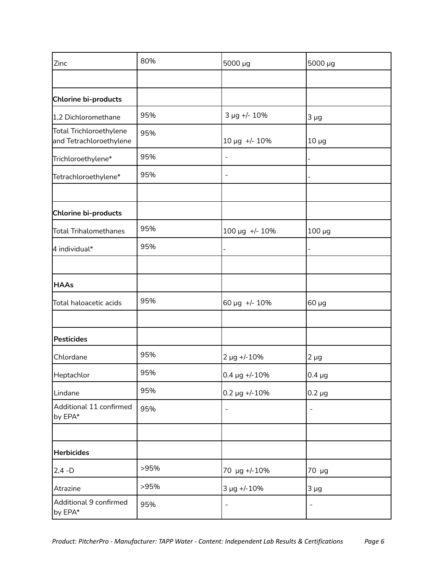| Zinc                                               | 80%  | 5000 µg                  | 5000 µg     |
|----------------------------------------------------|------|--------------------------|-------------|
|                                                    |      |                          |             |
| Chlorine bi-products                               |      |                          |             |
| 1,2 Dichloromethane                                | 95%  | 3 µg +/- 10%             | $3 \mu g$   |
| Total Trichloroethylene<br>and Tetrachloroethylene | 95%  | 10 µg +/- 10%            | $10 \mu g$  |
| Trichloroethylene*                                 | 95%  | $\overline{\phantom{a}}$ |             |
| Tetrachloroethylene*                               | 95%  | $\overline{\phantom{a}}$ |             |
| Chlorine bi-products                               |      |                          |             |
| <b>Total Trihalomethanes</b>                       | 95%  | 100 µg +/- 10%           | $100 \mu g$ |
| 4 individual*                                      | 95%  |                          |             |
|                                                    |      |                          |             |
| <b>HAAs</b>                                        |      |                          |             |
| Total haloacetic acids                             | 95%  | 60 µg +/- 10%            | $60 \mu g$  |
|                                                    |      |                          |             |
| <b>Pesticides</b>                                  |      |                          |             |
| Chlordane                                          | 95%  | $2 \mu g$ +/-10%         | $2 \mu g$   |
| Heptachlor                                         | 95%  | $0.4 \,\mu g$ +/-10%     | $0.4 \mu g$ |
| Lindane                                            | 95%  | $0.2 \,\mu g$ +/-10%     | $0.2 \mu g$ |
| Additional 11 confirmed<br>by EPA*                 | 95%  | $\qquad \qquad -$        |             |
|                                                    |      |                          |             |
| <b>Herbicides</b>                                  |      |                          |             |
| $2,4 - D$                                          | >95% | 70 µg +/-10%             | 70 µg       |
| Atrazine                                           | >95% | 3 µg +/-10%              | $3 \mu g$   |
| Additional 9 confirmed<br>by EPA*                  | 95%  | $\overline{\phantom{a}}$ |             |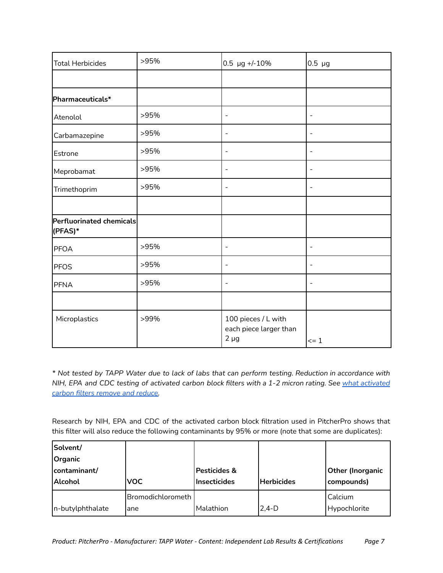| <b>Total Herbicides</b>             | >95% | $0.5 \text{ µg} +/-10\%$                                   | $0.5 \mu g$                  |
|-------------------------------------|------|------------------------------------------------------------|------------------------------|
|                                     |      |                                                            |                              |
| Pharmaceuticals*                    |      |                                                            |                              |
| Atenolol                            | >95% | $\blacksquare$                                             | $\blacksquare$               |
| Carbamazepine                       | >95% | $\blacksquare$                                             | $\overline{\phantom{a}}$     |
| Estrone                             | >95% | $\overline{\phantom{a}}$                                   | -                            |
| Meprobamat                          | >95% | $\overline{\phantom{a}}$                                   | $\overline{\phantom{a}}$     |
| Trimethoprim                        | >95% | $\overline{\phantom{a}}$                                   | $\overline{\phantom{a}}$     |
|                                     |      |                                                            |                              |
| Perfluorinated chemicals<br>(PFAS)* |      |                                                            |                              |
| PFOA                                | >95% | $\overline{\phantom{a}}$                                   | $\qquad \qquad \blacksquare$ |
| PFOS                                | >95% | $\overline{\phantom{a}}$                                   | $\qquad \qquad \blacksquare$ |
| PFNA                                | >95% | $\blacksquare$                                             | $\overline{\phantom{a}}$     |
|                                     |      |                                                            |                              |
| Microplastics                       | >99% | 100 pieces / L with<br>each piece larger than<br>$2 \mu g$ | $\leq$ 1                     |

\* Not tested by TAPP Water due to lack of labs that can perform testing. Reduction in accordance with NIH, EPA and CDC testing of [activated](https://tappwater.co/en/what-activated-carbon-filters-remove/) carbon block filters with a 1-2 micron rating. See what activated *carbon filters [remove](https://tappwater.co/en/what-activated-carbon-filters-remove/) and reduce.*

Research by NIH, EPA and CDC of the activated carbon block filtration used in PitcherPro shows that this filter will also reduce the following contaminants by 95% or more (note that some are duplicates):

| Solvent/<br><b>Organic</b>     |                           |                                                |                   |                                       |
|--------------------------------|---------------------------|------------------------------------------------|-------------------|---------------------------------------|
| contaminant/<br><b>Alcohol</b> | <b>VOC</b>                | <b>Pesticides &amp;</b><br><b>Insecticides</b> | <b>Herbicides</b> | <b>Other (Inorganic</b><br>compounds) |
| In-butylphthalate              | lBromodichlorometh<br>ane | Malathion                                      | $2.4-D$           | Calcium<br>Hypochlorite               |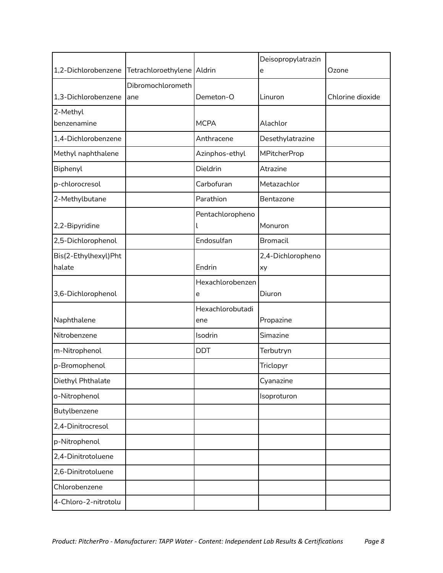|                      |                              |                         | Deisopropylatrazin  |                  |
|----------------------|------------------------------|-------------------------|---------------------|------------------|
| 1,2-Dichlorobenzene  | Tetrachloroethylene   Aldrin |                         | e                   | Ozone            |
|                      | Dibromochlorometh            |                         |                     |                  |
| 1,3-Dichlorobenzene  | ane                          | Demeton-O               | Linuron             | Chlorine dioxide |
| 2-Methyl             |                              |                         |                     |                  |
| benzenamine          |                              | <b>MCPA</b>             | Alachlor            |                  |
| 1,4-Dichlorobenzene  |                              | Anthracene              | Desethylatrazine    |                  |
| Methyl naphthalene   |                              | Azinphos-ethyl          | <b>MPitcherProp</b> |                  |
| Biphenyl             |                              | Dieldrin                | Atrazine            |                  |
| p-chlorocresol       |                              | Carbofuran              | Metazachlor         |                  |
| 2-Methylbutane       |                              | Parathion               | Bentazone           |                  |
|                      |                              | Pentachloropheno        |                     |                  |
| 2,2-Bipyridine       |                              |                         | Monuron             |                  |
| 2,5-Dichlorophenol   |                              | Endosulfan              | <b>Bromacil</b>     |                  |
| Bis(2-Ethylhexyl)Pht |                              |                         | 2,4-Dichloropheno   |                  |
| halate               |                              | Endrin                  | xy                  |                  |
|                      |                              | Hexachlorobenzen        |                     |                  |
| 3,6-Dichlorophenol   |                              | e                       | Diuron              |                  |
| Naphthalene          |                              | Hexachlorobutadi<br>ene | Propazine           |                  |
| Nitrobenzene         |                              | Isodrin                 | Simazine            |                  |
| m-Nitrophenol        |                              | <b>DDT</b>              | Terbutryn           |                  |
| p-Bromophenol        |                              |                         | Triclopyr           |                  |
| Diethyl Phthalate    |                              |                         | Cyanazine           |                  |
| o-Nitrophenol        |                              |                         | Isoproturon         |                  |
| Butylbenzene         |                              |                         |                     |                  |
| 2,4-Dinitrocresol    |                              |                         |                     |                  |
| p-Nitrophenol        |                              |                         |                     |                  |
| 2,4-Dinitrotoluene   |                              |                         |                     |                  |
| 2,6-Dinitrotoluene   |                              |                         |                     |                  |
| Chlorobenzene        |                              |                         |                     |                  |
| 4-Chloro-2-nitrotolu |                              |                         |                     |                  |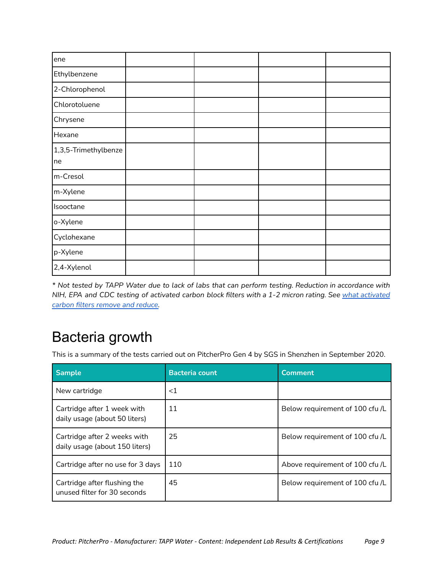| ene                  |  |  |
|----------------------|--|--|
| Ethylbenzene         |  |  |
| 2-Chlorophenol       |  |  |
| Chlorotoluene        |  |  |
| Chrysene             |  |  |
| Hexane               |  |  |
| 1,3,5-Trimethylbenze |  |  |
| ne                   |  |  |
| m-Cresol             |  |  |
| m-Xylene             |  |  |
| Isooctane            |  |  |
| o-Xylene             |  |  |
| Cyclohexane          |  |  |
| p-Xylene             |  |  |
| 2,4-Xylenol          |  |  |

\* Not tested by TAPP Water due to lack of labs that can perform testing. Reduction in accordance with NIH, EPA and CDC testing of [activated](https://tappwater.co/en/what-activated-carbon-filters-remove/) carbon block filters with a 1-2 micron rating. See what activated *carbon filters [remove](https://tappwater.co/en/what-activated-carbon-filters-remove/) and reduce.*

### <span id="page-8-0"></span>Bacteria growth

This is a summary of the tests carried out on PitcherPro Gen 4 by SGS in Shenzhen in September 2020.

| <b>Sample</b>                                                  | <b>Bacteria count</b> | <b>Comment</b>                  |
|----------------------------------------------------------------|-----------------------|---------------------------------|
| New cartridge                                                  | ${<}1$                |                                 |
| Cartridge after 1 week with<br>daily usage (about 50 liters)   | 11                    | Below requirement of 100 cfu /L |
| Cartridge after 2 weeks with<br>daily usage (about 150 liters) | 25                    | Below requirement of 100 cfu /L |
| Cartridge after no use for 3 days                              | 110                   | Above requirement of 100 cfu /L |
| Cartridge after flushing the<br>unused filter for 30 seconds   | 45                    | Below requirement of 100 cfu /L |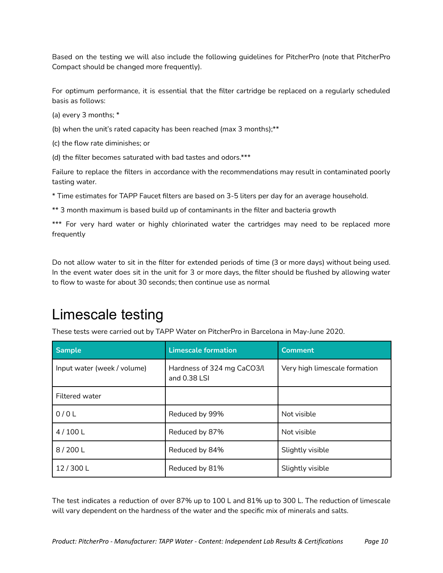Based on the testing we will also include the following guidelines for PitcherPro (note that PitcherPro Compact should be changed more frequently).

For optimum performance, it is essential that the filter cartridge be replaced on a regularly scheduled basis as follows:

- (a) every 3 months; \*
- (b) when the unit's rated capacity has been reached (max 3 months); $**$
- (c) the flow rate diminishes; or
- (d) the filter becomes saturated with bad tastes and odors.\*\*\*

Failure to replace the filters in accordance with the recommendations may result in contaminated poorly tasting water.

\* Time estimates for TAPP Faucet filters are based on 3-5 liters per day for an average household.

\*\* 3 month maximum is based build up of contaminants in the filter and bacteria growth

\*\*\* For very hard water or highly chlorinated water the cartridges may need to be replaced more frequently

Do not allow water to sit in the filter for extended periods of time (3 or more days) without being used. In the event water does sit in the unit for 3 or more days, the filter should be flushed by allowing water to flow to waste for about 30 seconds; then continue use as normal

### <span id="page-9-0"></span>Limescale testing

These tests were carried out by TAPP Water on PitcherPro in Barcelona in May-June 2020.

| <b>Sample</b>               | <b>Limescale formation</b>                   | <b>Comment</b>                |
|-----------------------------|----------------------------------------------|-------------------------------|
| Input water (week / volume) | Hardness of 324 mg CaCO3/L<br>and $0.38$ LSI | Very high limescale formation |
| <b>Filtered water</b>       |                                              |                               |
| 0/0L                        | Reduced by 99%                               | Not visible                   |
| 4/100 L                     | Reduced by 87%                               | Not visible                   |
| 8/200 L                     | Reduced by 84%                               | Slightly visible              |
| 12/300L                     | Reduced by 81%                               | Slightly visible              |

The test indicates a reduction of over 87% up to 100 L and 81% up to 300 L. The reduction of limescale will vary dependent on the hardness of the water and the specific mix of minerals and salts.